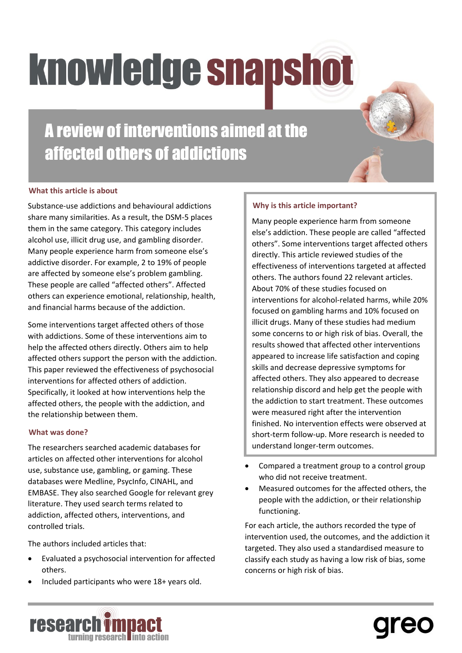# **knowledge snapshot**

A review of interventions aimed at the affected others of addictions

## **What this article is about**

Substance-use addictions and behavioural addictions share many similarities. As a result, the DSM-5 places them in the same category. This category includes alcohol use, illicit drug use, and gambling disorder. Many people experience harm from someone else's addictive disorder. For example, 2 to 19% of people are affected by someone else's problem gambling. These people are called "affected others". Affected others can experience emotional, relationship, health, and financial harms because of the addiction.

Some interventions target affected others of those with addictions. Some of these interventions aim to help the affected others directly. Others aim to help affected others support the person with the addiction. This paper reviewed the effectiveness of psychosocial interventions for affected others of addiction. Specifically, it looked at how interventions help the affected others, the people with the addiction, and the relationship between them.

#### **What was done?**

The researchers searched academic databases for articles on affected other interventions for alcohol use, substance use, gambling, or gaming. These databases were Medline, PsycInfo, CINAHL, and EMBASE. They also searched Google for relevant grey literature. They used search terms related to addiction, affected others, interventions, and controlled trials.

The authors included articles that:

- Evaluated a psychosocial intervention for affected others.
- Included participants who were 18+ years old.

## **Why is this article important?**

Many people experience harm from someone else's addiction. These people are called "affected others". Some interventions target affected others directly. This article reviewed studies of the effectiveness of interventions targeted at affected others. The authors found 22 relevant articles. About 70% of these studies focused on interventions for alcohol-related harms, while 20% focused on gambling harms and 10% focused on illicit drugs. Many of these studies had medium some concerns to or high risk of bias. Overall, the results showed that affected other interventions appeared to increase life satisfaction and coping skills and decrease depressive symptoms for affected others. They also appeared to decrease relationship discord and help get the people with the addiction to start treatment. These outcomes were measured right after the intervention finished. No intervention effects were observed at short-term follow-up. More research is needed to understand longer-term outcomes.

- Compared a treatment group to a control group who did not receive treatment.
- Measured outcomes for the affected others, the people with the addiction, or their relationship functioning.

For each article, the authors recorded the type of intervention used, the outcomes, and the addiction it targeted. They also used a standardised measure to classify each study as having a low risk of bias, some concerns or high risk of bias.